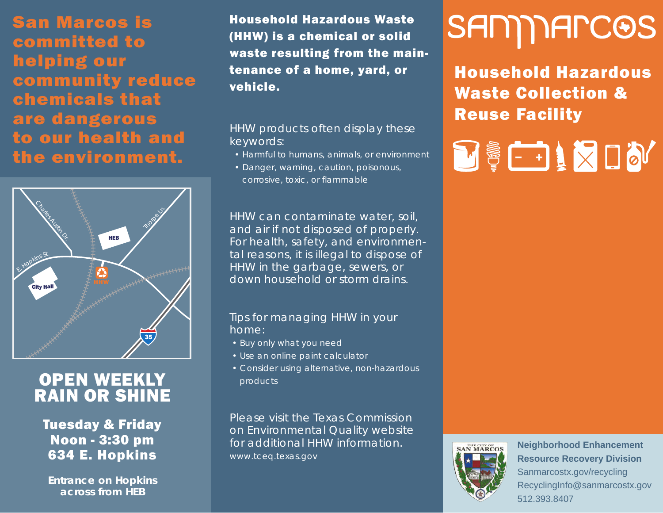San Marcos is committed to helping our community reduce chemicals that are dangerous to our health and the environment.



## **OPEN WEEKLY** RAIN OR SHINE

Tuesday & Friday Noon - 3:30 pm 634 E. Hopkins

*Entrance on Hopkins across from HEB*

Household Hazardous Waste (HHW) is a chemical or solid waste resulting from the maintenance of a home, yard, or vehicle.

#### HHW products often display these keywords:

- *Harmful to humans, animals, or environment*
- *Danger, warning, caution, poisonous, corrosive, toxic, or flammable*

HHW can contaminate water, soil, and air if not disposed of properly. For health, safety, and environmental reasons, it is illegal to dispose of HHW in the garbage, sewers, or down household or storm drains.

#### Tips for managing HHW in your home:

- *Buy only what you need*
- *Use an online paint calculator*
- *Consider using alternative, non-hazardous products*

Please visit the Texas Commission on Environmental Quality website for additional HHW information. *www.tceq.texas.gov*

# SAMMARCOS

Household Hazardous Waste Collection & Reuse Facility

**DEETIMUM** 



**Neighborhood Enhancement Resource Recovery Division** Sanmarcostx.gov/recycling RecyclingInfo@sanmarcostx.gov 512.393.8407